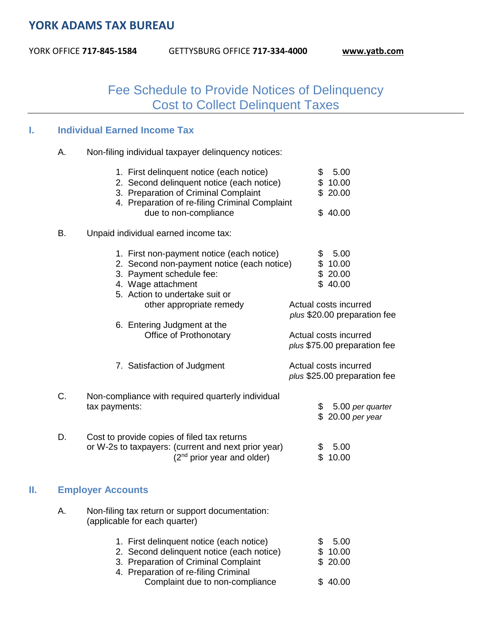## **YORK ADAMS TAX BUREAU**

YORK OFFICE **717-845-1584** GETTYSBURG OFFICE **717-334-4000 www.yatb.com**

# Fee Schedule to Provide Notices of Delinquency Cost to Collect Delinquent Taxes

### **I. Individual Earned Income Tax**

#### A. Non-filing individual taxpayer delinquency notices:

|     |                          | 1. First delinquent notice (each notice)<br>2. Second delinquent notice (each notice)<br>3. Preparation of Criminal Complaint<br>4. Preparation of re-filing Criminal Complaint<br>due to non-compliance | \$<br>5.00<br>\$10.00<br>\$20.00<br>\$40.00                                                          |  |  |
|-----|--------------------------|----------------------------------------------------------------------------------------------------------------------------------------------------------------------------------------------------------|------------------------------------------------------------------------------------------------------|--|--|
|     | <b>B.</b>                | Unpaid individual earned income tax:                                                                                                                                                                     |                                                                                                      |  |  |
|     |                          | 1. First non-payment notice (each notice)<br>2. Second non-payment notice (each notice)<br>3. Payment schedule fee:<br>4. Wage attachment<br>5. Action to undertake suit or<br>other appropriate remedy  | 5.00<br>\$<br>\$10.00<br>\$20.00<br>\$40.00<br>Actual costs incurred<br>plus \$20.00 preparation fee |  |  |
|     |                          | 6. Entering Judgment at the<br>Office of Prothonotary                                                                                                                                                    | Actual costs incurred<br>plus \$75.00 preparation fee                                                |  |  |
|     |                          | 7. Satisfaction of Judgment                                                                                                                                                                              | Actual costs incurred<br>plus \$25.00 preparation fee                                                |  |  |
|     | C.                       | Non-compliance with required quarterly individual<br>tax payments:                                                                                                                                       | \$<br>5.00 per quarter<br>\$20.00 per year                                                           |  |  |
|     | D.                       | Cost to provide copies of filed tax returns<br>or W-2s to taxpayers: (current and next prior year)<br>(2 <sup>nd</sup> prior year and older)                                                             | 5.00<br>\$<br>\$10.00                                                                                |  |  |
| ΙΙ. | <b>Employer Accounts</b> |                                                                                                                                                                                                          |                                                                                                      |  |  |
|     | А.                       | Non-filing tax return or support documentation:<br>(applicable for each quarter)                                                                                                                         |                                                                                                      |  |  |
|     |                          | 1. First delinquent notice (each notice)<br>2. Second delinquent notice (each notice)<br>3. Preparation of Criminal Complaint                                                                            | 5.00<br>\$<br>\$10.00<br>\$<br>20.00                                                                 |  |  |

Complaint due to non-compliance \$ 40.00

4. Preparation of re-filing Criminal